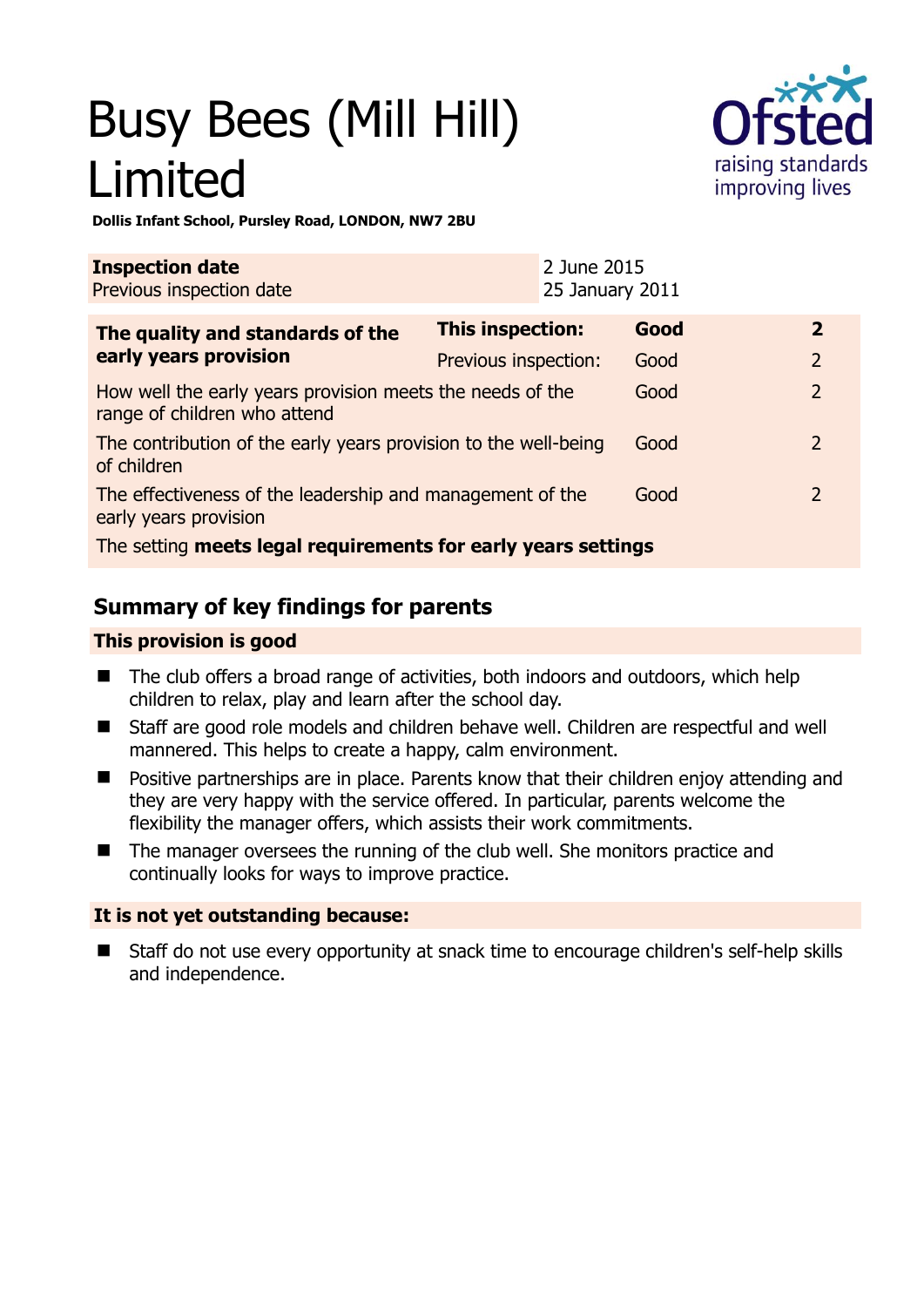# Busy Bees (Mill Hill) Limited



**Dollis Infant School, Pursley Road, LONDON, NW7 2BU** 

| <b>Inspection date</b><br>Previous inspection date                                        |                         | 2 June 2015<br>25 January 2011 |      |                |
|-------------------------------------------------------------------------------------------|-------------------------|--------------------------------|------|----------------|
| The quality and standards of the                                                          | <b>This inspection:</b> |                                | Good | $\mathbf{2}$   |
| early years provision                                                                     | Previous inspection:    |                                | Good | $\overline{2}$ |
| How well the early years provision meets the needs of the<br>range of children who attend |                         |                                | Good | $\overline{2}$ |
| The contribution of the early years provision to the well-being<br>of children            |                         |                                | Good | $\mathcal{L}$  |
| The effectiveness of the leadership and management of the<br>early years provision        |                         |                                | Good | $\mathcal{P}$  |
| The setting meets legal requirements for early years settings                             |                         |                                |      |                |

# **Summary of key findings for parents**

### **This provision is good**

- The club offers a broad range of activities, both indoors and outdoors, which help children to relax, play and learn after the school day.
- Staff are good role models and children behave well. Children are respectful and well mannered. This helps to create a happy, calm environment.
- **Positive partnerships are in place. Parents know that their children enjoy attending and** they are very happy with the service offered. In particular, parents welcome the flexibility the manager offers, which assists their work commitments.
- The manager oversees the running of the club well. She monitors practice and continually looks for ways to improve practice.

### **It is not yet outstanding because:**

■ Staff do not use every opportunity at snack time to encourage children's self-help skills and independence.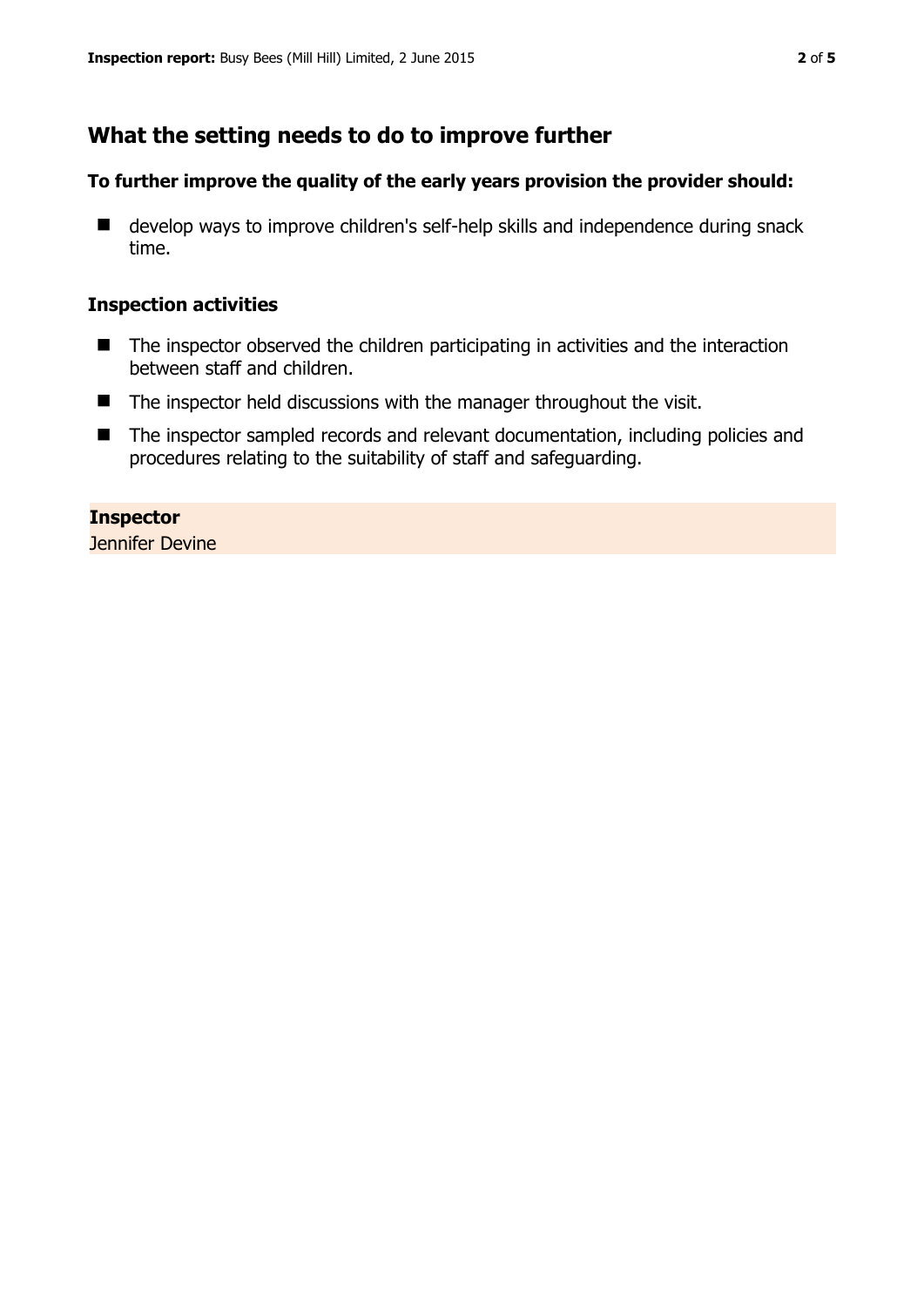## **What the setting needs to do to improve further**

#### **To further improve the quality of the early years provision the provider should:**

■ develop ways to improve children's self-help skills and independence during snack time.

#### **Inspection activities**

- The inspector observed the children participating in activities and the interaction between staff and children.
- $\blacksquare$  The inspector held discussions with the manager throughout the visit.
- The inspector sampled records and relevant documentation, including policies and procedures relating to the suitability of staff and safeguarding.

**Inspector**  Jennifer Devine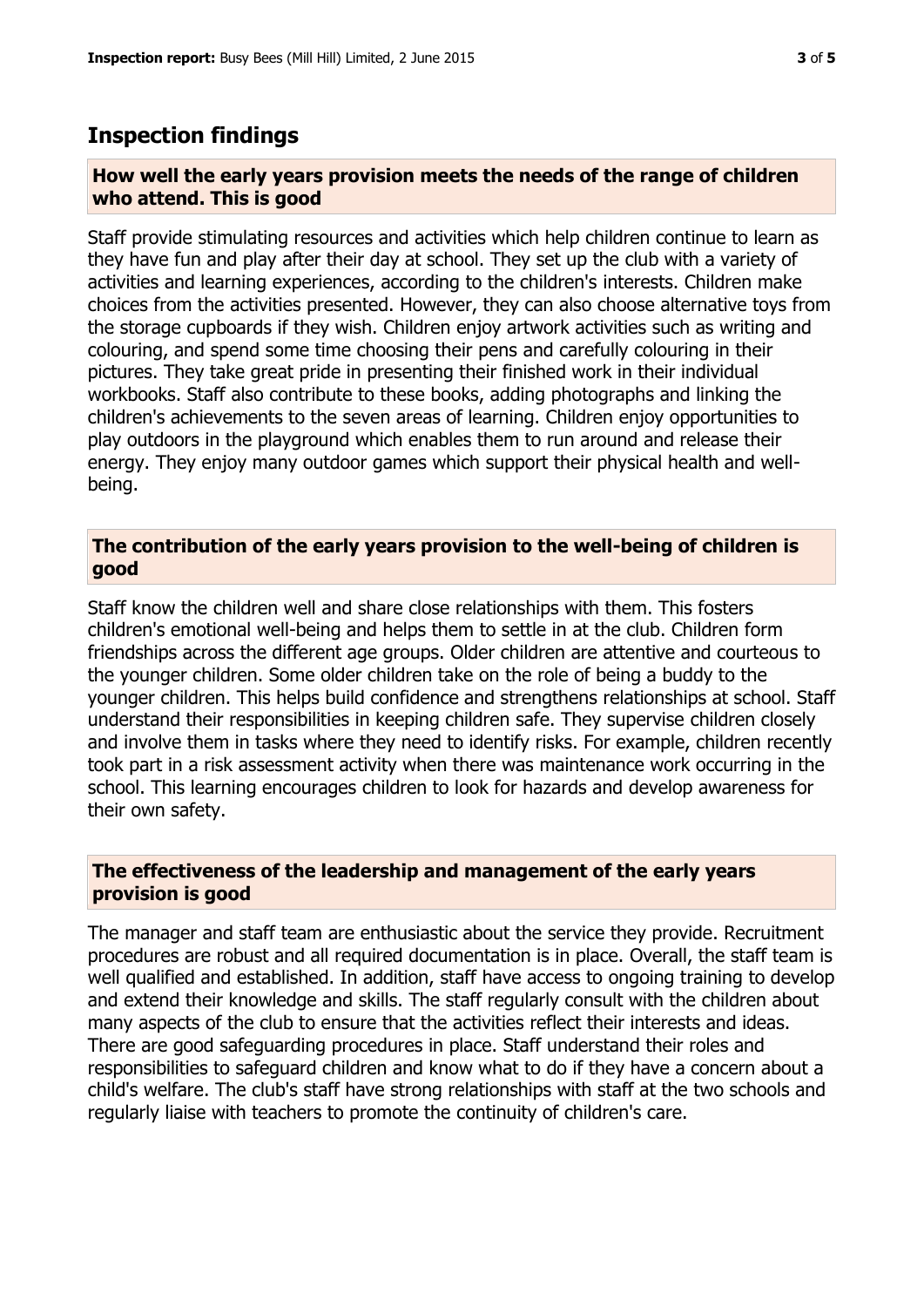### **Inspection findings**

#### **How well the early years provision meets the needs of the range of children who attend. This is good**

Staff provide stimulating resources and activities which help children continue to learn as they have fun and play after their day at school. They set up the club with a variety of activities and learning experiences, according to the children's interests. Children make choices from the activities presented. However, they can also choose alternative toys from the storage cupboards if they wish. Children enjoy artwork activities such as writing and colouring, and spend some time choosing their pens and carefully colouring in their pictures. They take great pride in presenting their finished work in their individual workbooks. Staff also contribute to these books, adding photographs and linking the children's achievements to the seven areas of learning. Children enjoy opportunities to play outdoors in the playground which enables them to run around and release their energy. They enjoy many outdoor games which support their physical health and wellbeing.

#### **The contribution of the early years provision to the well-being of children is good**

Staff know the children well and share close relationships with them. This fosters children's emotional well-being and helps them to settle in at the club. Children form friendships across the different age groups. Older children are attentive and courteous to the younger children. Some older children take on the role of being a buddy to the younger children. This helps build confidence and strengthens relationships at school. Staff understand their responsibilities in keeping children safe. They supervise children closely and involve them in tasks where they need to identify risks. For example, children recently took part in a risk assessment activity when there was maintenance work occurring in the school. This learning encourages children to look for hazards and develop awareness for their own safety.

#### **The effectiveness of the leadership and management of the early years provision is good**

The manager and staff team are enthusiastic about the service they provide. Recruitment procedures are robust and all required documentation is in place. Overall, the staff team is well qualified and established. In addition, staff have access to ongoing training to develop and extend their knowledge and skills. The staff regularly consult with the children about many aspects of the club to ensure that the activities reflect their interests and ideas. There are good safeguarding procedures in place. Staff understand their roles and responsibilities to safeguard children and know what to do if they have a concern about a child's welfare. The club's staff have strong relationships with staff at the two schools and regularly liaise with teachers to promote the continuity of children's care.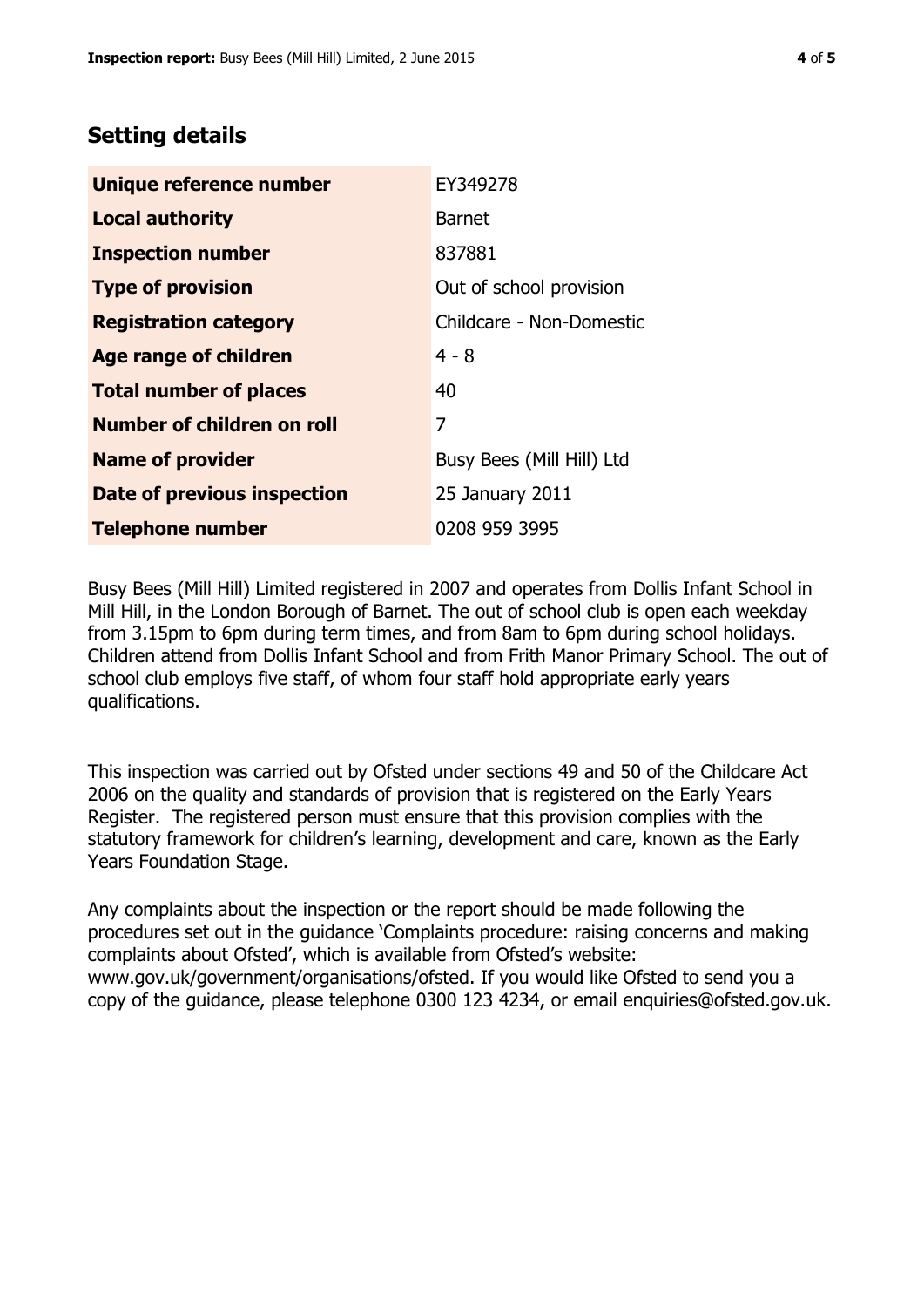# **Setting details**

| Unique reference number       | EY349278                  |  |
|-------------------------------|---------------------------|--|
| <b>Local authority</b>        | <b>Barnet</b>             |  |
| <b>Inspection number</b>      | 837881                    |  |
| <b>Type of provision</b>      | Out of school provision   |  |
| <b>Registration category</b>  | Childcare - Non-Domestic  |  |
| Age range of children         | $4 - 8$                   |  |
| <b>Total number of places</b> | 40                        |  |
| Number of children on roll    | 7                         |  |
| <b>Name of provider</b>       | Busy Bees (Mill Hill) Ltd |  |
| Date of previous inspection   | 25 January 2011           |  |
| <b>Telephone number</b>       | 0208 959 3995             |  |

Busy Bees (Mill Hill) Limited registered in 2007 and operates from Dollis Infant School in Mill Hill, in the London Borough of Barnet. The out of school club is open each weekday from 3.15pm to 6pm during term times, and from 8am to 6pm during school holidays. Children attend from Dollis Infant School and from Frith Manor Primary School. The out of school club employs five staff, of whom four staff hold appropriate early years qualifications.

This inspection was carried out by Ofsted under sections 49 and 50 of the Childcare Act 2006 on the quality and standards of provision that is registered on the Early Years Register. The registered person must ensure that this provision complies with the statutory framework for children's learning, development and care, known as the Early Years Foundation Stage.

Any complaints about the inspection or the report should be made following the procedures set out in the guidance 'Complaints procedure: raising concerns and making complaints about Ofsted', which is available from Ofsted's website: www.gov.uk/government/organisations/ofsted. If you would like Ofsted to send you a copy of the guidance, please telephone 0300 123 4234, or email enquiries@ofsted.gov.uk.